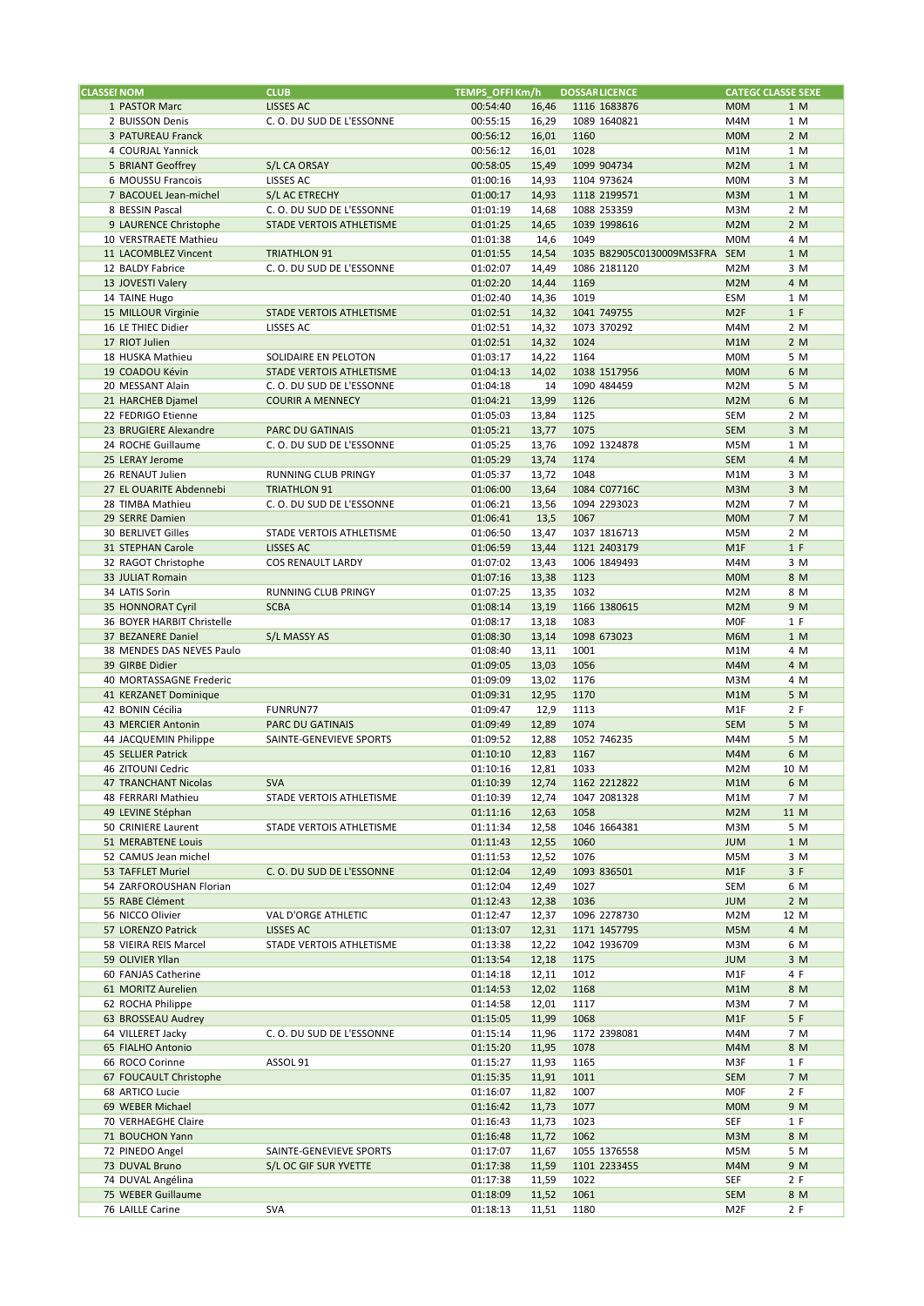| <b>CLASSEI NOM</b>         | <b>CLUB</b>              | TEMPS_OFFI Km/h |       | <b>DOSSAR LICENCE</b>         | <b>CATEGC CLASSE SEXE</b> |
|----------------------------|--------------------------|-----------------|-------|-------------------------------|---------------------------|
| 1 PASTOR Marc              | LISSES AC                | 00:54:40        | 16,46 | 1116 1683876                  | <b>MOM</b><br>1 M         |
| 2 BUISSON Denis            | C.O. DU SUD DE L'ESSONNE | 00:55:15        | 16,29 | 1089 1640821                  | M4M<br>1 M                |
| 3 PATUREAU Franck          |                          | 00:56:12        | 16,01 | 1160                          | <b>MOM</b><br>2 M         |
| 4 COURJAL Yannick          |                          | 00:56:12        | 16,01 | 1028                          | M1M<br>1 M                |
| 5 BRIANT Geoffrey          | S/L CA ORSAY             | 00:58:05        | 15,49 | 1099 904734                   | M <sub>2</sub> M<br>1 M   |
| 6 MOUSSU Francois          | LISSES AC                | 01:00:16        | 14,93 | 1104 973624                   | 3 M<br><b>MOM</b>         |
|                            |                          |                 |       |                               |                           |
| 7 BACOUEL Jean-michel      | S/L AC ETRECHY           | 01:00:17        | 14,93 | 1118 2199571                  | M3M<br>1 M                |
| 8 BESSIN Pascal            | C.O. DU SUD DE L'ESSONNE | 01:01:19        | 14,68 | 1088 253359                   | M3M<br>2 M                |
| 9 LAURENCE Christophe      | STADE VERTOIS ATHLETISME | 01:01:25        | 14,65 | 1039 1998616                  | M <sub>2</sub> M<br>2 M   |
| 10 VERSTRAETE Mathieu      |                          | 01:01:38        | 14,6  | 1049                          | <b>MOM</b><br>4 M         |
| 11 LACOMBLEZ Vincent       | <b>TRIATHLON 91</b>      | 01:01:55        | 14,54 | 1035 B82905C0130009MS3FRA SEM | 1 M                       |
| 12 BALDY Fabrice           | C.O. DU SUD DE L'ESSONNE | 01:02:07        | 14,49 | 1086 2181120                  | 3 M<br>M <sub>2</sub> M   |
| 13 JOVESTI Valery          |                          | 01:02:20        | 14,44 | 1169                          | 4 M<br>M <sub>2</sub> M   |
| 14 TAINE Hugo              |                          | 01:02:40        | 14,36 | 1019                          | ESM<br>1 M                |
|                            |                          |                 |       | 1041 749755                   | 1 F                       |
| 15 MILLOUR Virginie        | STADE VERTOIS ATHLETISME | 01:02:51        | 14,32 |                               | M <sub>2F</sub>           |
| 16 LE THIEC Didier         | LISSES AC                | 01:02:51        | 14,32 | 1073 370292                   | M4M<br>2 M                |
| 17 RIOT Julien             |                          | 01:02:51        | 14,32 | 1024                          | M1M<br>2 M                |
| 18 HUSKA Mathieu           | SOLIDAIRE EN PELOTON     | 01:03:17        | 14,22 | 1164                          | <b>MOM</b><br>5 M         |
| 19 COADOU Kévin            | STADE VERTOIS ATHLETISME | 01:04:13        | 14,02 | 1038 1517956                  | <b>MOM</b><br>6 M         |
| 20 MESSANT Alain           | C.O. DU SUD DE L'ESSONNE | 01:04:18        | 14    | 1090 484459                   | M2M<br>5 M                |
| 21 HARCHEB Djamel          | <b>COURIR A MENNECY</b>  | 01:04:21        | 13,99 | 1126                          | M <sub>2</sub> M<br>6 M   |
| 22 FEDRIGO Etienne         |                          | 01:05:03        |       | 1125                          | <b>SEM</b><br>2 M         |
|                            |                          |                 | 13,84 |                               |                           |
| 23 BRUGIERE Alexandre      | <b>PARC DU GATINAIS</b>  | 01:05:21        | 13,77 | 1075                          | 3 M<br><b>SEM</b>         |
| 24 ROCHE Guillaume         | C.O. DU SUD DE L'ESSONNE | 01:05:25        | 13,76 | 1092 1324878                  | M5M<br>1 M                |
| 25 LERAY Jerome            |                          | 01:05:29        | 13,74 | 1174                          | 4 M<br><b>SEM</b>         |
| 26 RENAUT Julien           | RUNNING CLUB PRINGY      | 01:05:37        | 13,72 | 1048                          | M1M<br>3 M                |
| 27 EL OUARITE Abdennebi    | TRIATHLON 91             | 01:06:00        | 13,64 | 1084 C07716C                  | M3M<br>3 M                |
| 28 TIMBA Mathieu           | C.O. DU SUD DE L'ESSONNE | 01:06:21        | 13,56 | 1094 2293023                  | M2M<br>7 M                |
|                            |                          |                 |       | 1067                          |                           |
| 29 SERRE Damien            |                          | 01:06:41        | 13,5  |                               | <b>MOM</b><br>7 M         |
| 30 BERLIVET Gilles         | STADE VERTOIS ATHLETISME | 01:06:50        | 13,47 | 1037 1816713                  | 2 M<br>M5M                |
| 31 STEPHAN Carole          | LISSES AC                | 01:06:59        | 13,44 | 1121 2403179                  | 1 F<br>M <sub>1</sub> F   |
| 32 RAGOT Christophe        | <b>COS RENAULT LARDY</b> | 01:07:02        | 13,43 | 1006 1849493                  | 3 M<br>M4M                |
| 33 JULIAT Romain           |                          | 01:07:16        | 13,38 | 1123                          | <b>MOM</b><br>8 M         |
| 34 LATIS Sorin             | RUNNING CLUB PRINGY      | 01:07:25        | 13,35 | 1032                          | M <sub>2</sub> M<br>8 M   |
| 35 HONNORAT Cyril          | <b>SCBA</b>              | 01:08:14        | 13,19 | 1166 1380615                  | M <sub>2</sub> M<br>9 M   |
|                            |                          |                 |       |                               |                           |
| 36 BOYER HARBIT Christelle |                          | 01:08:17        | 13,18 | 1083                          | 1 F<br><b>MOF</b>         |
| 37 BEZANERE Daniel         | S/L MASSY AS             | 01:08:30        | 13,14 | 1098 673023                   | 1 M<br>M6M                |
| 38 MENDES DAS NEVES Paulo  |                          | 01:08:40        | 13,11 | 1001                          | M1M<br>4 M                |
| 39 GIRBE Didier            |                          | 01:09:05        | 13,03 | 1056                          | M4M<br>4 M                |
| 40 MORTASSAGNE Frederic    |                          | 01:09:09        | 13,02 | 1176                          | M3M<br>4 M                |
| 41 KERZANET Dominique      |                          | 01:09:31        | 12,95 | 1170                          | M1M<br>5 M                |
| 42 BONIN Cécilia           | <b>FUNRUN77</b>          | 01:09:47        | 12,9  | 1113                          | 2 F<br>M1F                |
|                            |                          |                 |       | 1074                          |                           |
| 43 MERCIER Antonin         | PARC DU GATINAIS         | 01:09:49        | 12,89 |                               | <b>SEM</b><br>5 M         |
| 44 JACQUEMIN Philippe      | SAINTE-GENEVIEVE SPORTS  | 01:09:52        | 12,88 | 1052 746235                   | M4M<br>5 M                |
| 45 SELLIER Patrick         |                          | 01:10:10        | 12,83 | 1167                          | M4M<br>6 M                |
| 46 ZITOUNI Cedric          |                          | 01:10:16        | 12,81 | 1033                          | M <sub>2</sub> M<br>10 M  |
| 47 TRANCHANT Nicolas       | <b>SVA</b>               | 01:10:39        | 12,74 | 1162 2212822                  | M1M<br>6 M                |
| 48 FERRARI Mathieu         | STADE VERTOIS ATHLETISME | 01:10:39        | 12,74 | 1047 2081328                  | 7 M<br>M1M                |
| 49 LEVINE Stéphan          |                          | 01:11:16        | 12,63 | 1058                          | M2M<br>11 M               |
| 50 CRINIERE Laurent        | STADE VERTOIS ATHLETISME |                 | 12,58 | 1046 1664381                  | M3M<br>5 M                |
|                            |                          | 01:11:34        |       |                               |                           |
| 51 MERABTENE Louis         |                          | 01:11:43        | 12,55 | 1060                          | <b>NUL</b><br>1 M         |
| 52 CAMUS Jean michel       |                          | 01:11:53        | 12,52 | 1076                          | M5M<br>3 M                |
| 53 TAFFLET Muriel          | C.O. DU SUD DE L'ESSONNE | 01:12:04        | 12,49 | 1093 836501                   | M1F<br>3 F                |
| 54 ZARFOROUSHAN Florian    |                          | 01:12:04        | 12,49 | 1027                          | 6 M<br>SEM                |
| 55 RABE Clément            |                          | 01:12:43        | 12,38 | 1036                          | <b>JUM</b><br>2 M         |
| 56 NICCO Olivier           | VAL D'ORGE ATHLETIC      | 01:12:47        | 12,37 | 1096 2278730                  | M <sub>2</sub> M<br>12 M  |
| 57 LORENZO Patrick         | LISSES AC                | 01:13:07        |       | 1171 1457795                  | 4 M<br>M5M                |
|                            |                          |                 | 12,31 |                               |                           |
| 58 VIEIRA REIS Marcel      | STADE VERTOIS ATHLETISME | 01:13:38        | 12,22 | 1042 1936709                  | M3M<br>6 M                |
| 59 OLIVIER Yllan           |                          | 01:13:54        | 12,18 | 1175                          | <b>JUM</b><br>3 M         |
| 60 FANJAS Catherine        |                          | 01:14:18        | 12,11 | 1012                          | M1F<br>4 F                |
| 61 MORITZ Aurelien         |                          | 01:14:53        | 12,02 | 1168                          | M1M<br>8 M                |
| 62 ROCHA Philippe          |                          | 01:14:58        | 12,01 | 1117                          | M3M<br>7 M                |
| 63 BROSSEAU Audrey         |                          | 01:15:05        | 11,99 | 1068                          | 5 F<br>M1F                |
| 64 VILLERET Jacky          | C.O. DU SUD DE L'ESSONNE | 01:15:14        | 11,96 | 1172 2398081                  | M4M<br>7 M                |
|                            |                          |                 |       |                               |                           |
| 65 FIALHO Antonio          |                          | 01:15:20        | 11,95 | 1078                          | M4M<br>8 M                |
| 66 ROCO Corinne            | ASSOL 91                 | 01:15:27        | 11,93 | 1165                          | 1 F<br>M3F                |
| 67 FOUCAULT Christophe     |                          | 01:15:35        | 11,91 | 1011                          | SEM<br>7 M                |
| 68 ARTICO Lucie            |                          | 01:16:07        | 11,82 | 1007                          | <b>MOF</b><br>2 F         |
| 69 WEBER Michael           |                          | 01:16:42        | 11,73 | 1077                          | <b>MOM</b><br>9 M         |
| 70 VERHAEGHE Claire        |                          | 01:16:43        | 11,73 | 1023                          | SEF<br>1 F                |
| 71 BOUCHON Yann            |                          | 01:16:48        | 11,72 | 1062                          | M3M<br>8 M                |
|                            |                          |                 |       |                               |                           |
| 72 PINEDO Angel            | SAINTE-GENEVIEVE SPORTS  | 01:17:07        | 11,67 | 1055 1376558                  | 5 M<br>M5M                |
| 73 DUVAL Bruno             | S/L OC GIF SUR YVETTE    | 01:17:38        | 11,59 | 1101 2233455                  | 9 M<br>M4M                |
| 74 DUVAL Angélina          |                          | 01:17:38        | 11,59 | 1022                          | SEF<br>2 F                |
| 75 WEBER Guillaume         |                          | 01:18:09        | 11,52 | 1061                          | 8 M<br><b>SEM</b>         |
| 76 LAILLE Carine           | <b>SVA</b>               | 01:18:13        | 11,51 | 1180                          | 2 F<br>M <sub>2F</sub>    |
|                            |                          |                 |       |                               |                           |